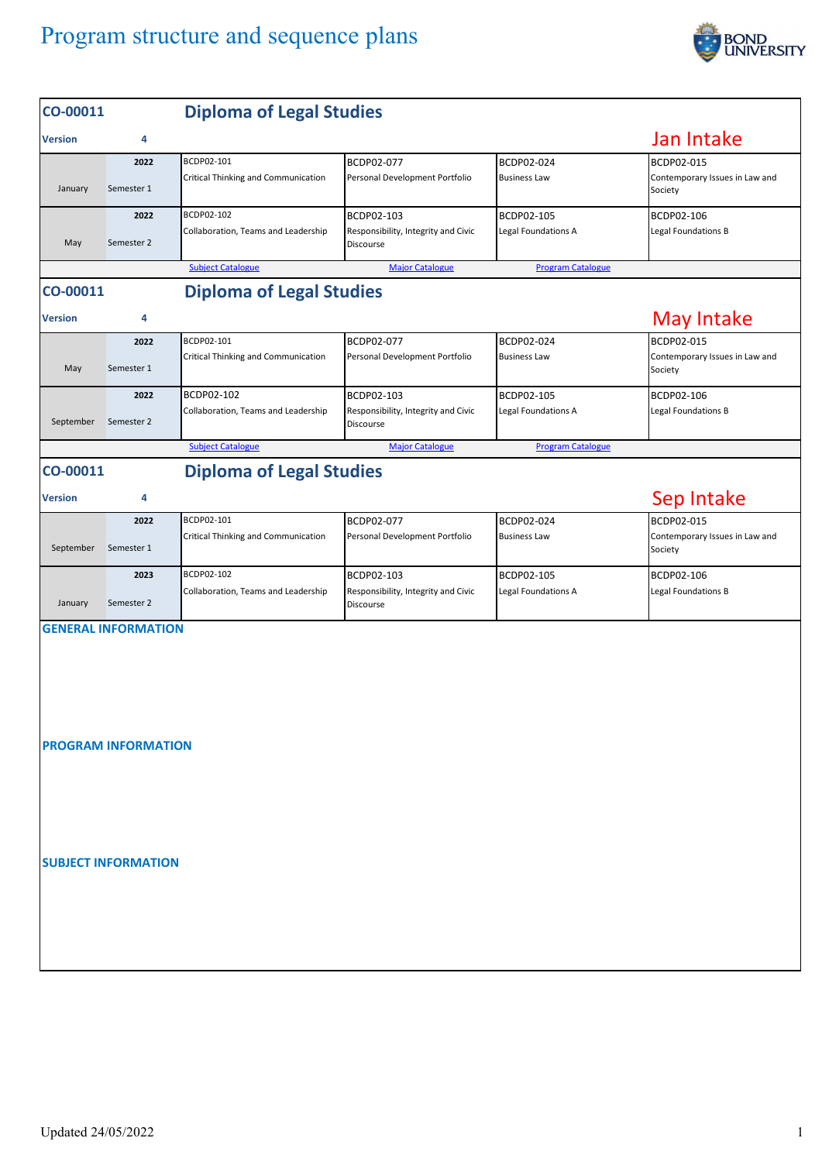

| CO-00011                                    |                            | <b>Diploma of Legal Studies</b>                   |                                                                       |                                   |                                                         |  |  |  |  |  |
|---------------------------------------------|----------------------------|---------------------------------------------------|-----------------------------------------------------------------------|-----------------------------------|---------------------------------------------------------|--|--|--|--|--|
| <b>Version</b>                              | 4                          |                                                   |                                                                       |                                   | Jan Intake                                              |  |  |  |  |  |
| January                                     | 2022<br>Semester 1         | BCDP02-101<br>Critical Thinking and Communication | BCDP02-077<br>Personal Development Portfolio                          | BCDP02-024<br><b>Business Law</b> | BCDP02-015<br>Contemporary Issues in Law and<br>Society |  |  |  |  |  |
| May                                         | 2022<br>Semester 2         | BCDP02-102<br>Collaboration, Teams and Leadership | BCDP02-103<br>Responsibility, Integrity and Civic<br>Discourse        | BCDP02-105<br>Legal Foundations A | BCDP02-106<br>Legal Foundations B                       |  |  |  |  |  |
|                                             |                            | <b>Subject Catalogue</b>                          | <b>Major Catalogue</b>                                                | <b>Program Catalogue</b>          |                                                         |  |  |  |  |  |
| <b>Diploma of Legal Studies</b><br>CO-00011 |                            |                                                   |                                                                       |                                   |                                                         |  |  |  |  |  |
| <b>Version</b>                              | 4                          |                                                   |                                                                       |                                   | <b>May Intake</b>                                       |  |  |  |  |  |
| May                                         | 2022<br>Semester 1         | BCDP02-101<br>Critical Thinking and Communication | BCDP02-077<br>Personal Development Portfolio                          | BCDP02-024<br><b>Business Law</b> | BCDP02-015<br>Contemporary Issues in Law and<br>Society |  |  |  |  |  |
| September                                   | 2022<br>Semester 2         | BCDP02-102<br>Collaboration, Teams and Leadership | BCDP02-103<br>Responsibility, Integrity and Civic<br><b>Discourse</b> | BCDP02-105<br>Legal Foundations A | BCDP02-106<br>Legal Foundations B                       |  |  |  |  |  |
|                                             |                            | <b>Subject Catalogue</b>                          | <b>Major Catalogue</b>                                                | <b>Program Catalogue</b>          |                                                         |  |  |  |  |  |
| CO-00011                                    |                            | <b>Diploma of Legal Studies</b>                   |                                                                       |                                   |                                                         |  |  |  |  |  |
| <b>Version</b>                              | 4                          |                                                   |                                                                       |                                   | Sep Intake                                              |  |  |  |  |  |
| September                                   | 2022<br>Semester 1         | BCDP02-101<br>Critical Thinking and Communication | BCDP02-077<br>Personal Development Portfolio                          | BCDP02-024<br><b>Business Law</b> | BCDP02-015<br>Contemporary Issues in Law and<br>Society |  |  |  |  |  |
| January                                     | 2023<br>Semester 2         | BCDP02-102<br>Collaboration, Teams and Leadership | BCDP02-103<br>Responsibility, Integrity and Civic<br>Discourse        | BCDP02-105<br>Legal Foundations A | BCDP02-106<br>Legal Foundations B                       |  |  |  |  |  |
|                                             | <b>GENERAL INFORMATION</b> |                                                   |                                                                       |                                   |                                                         |  |  |  |  |  |
| <b>PROGRAM INFORMATION</b>                  |                            |                                                   |                                                                       |                                   |                                                         |  |  |  |  |  |
|                                             | <b>SUBJECT INFORMATION</b> |                                                   |                                                                       |                                   |                                                         |  |  |  |  |  |